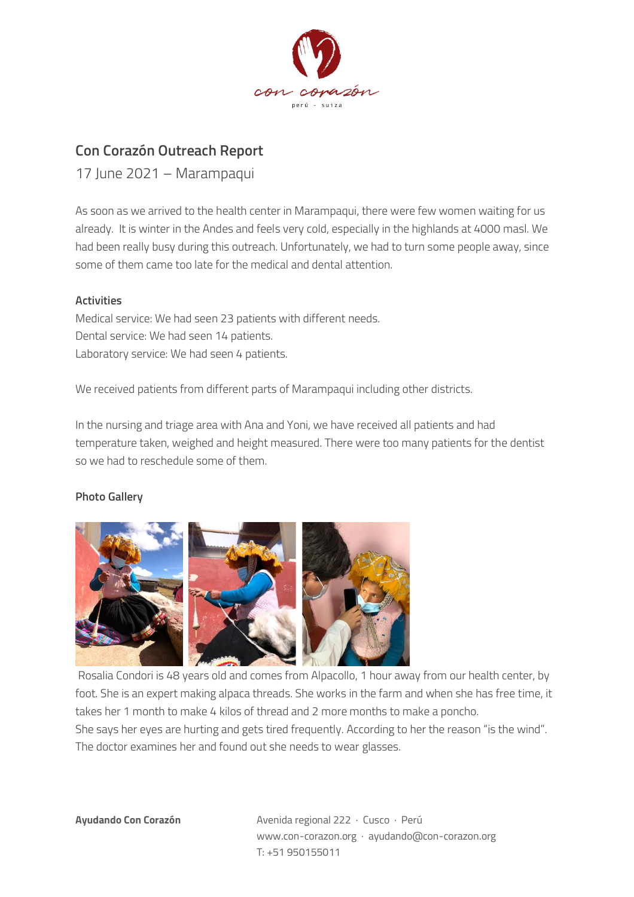

## **Con Corazón Outreach Report**

17 June 2021 – Marampaqui

As soon as we arrived to the health center in Marampaqui, there were few women waiting for us already. It is winter in the Andes and feels very cold, especially in the highlands at 4000 masl. We had been really busy during this outreach. Unfortunately, we had to turn some people away, since some of them came too late for the medical and dental attention.

## **Activities**

Medical service: We had seen 23 patients with different needs. Dental service: We had seen 14 patients. Laboratory service: We had seen 4 patients.

We received patients from different parts of Marampaqui including other districts.

In the nursing and triage area with Ana and Yoni, we have received all patients and had temperature taken, weighed and height measured. There were too many patients for the dentist so we had to reschedule some of them.

## **Photo Gallery**



Rosalia Condori is 48 years old and comes from Alpacollo, 1 hour away from our health center, by foot. She is an expert making alpaca threads. She works in the farm and when she has free time, it takes her 1 month to make 4 kilos of thread and 2 more months to make a poncho. She says her eyes are hurting and gets tired frequently. According to her the reason "is the wind". The doctor examines her and found out she needs to wear glasses.

**Ayudando Con Corazón** Avenida regional 222 · Cusco · Perú www.con-corazon.org · ayudando@con-corazon.org T: +51 950155011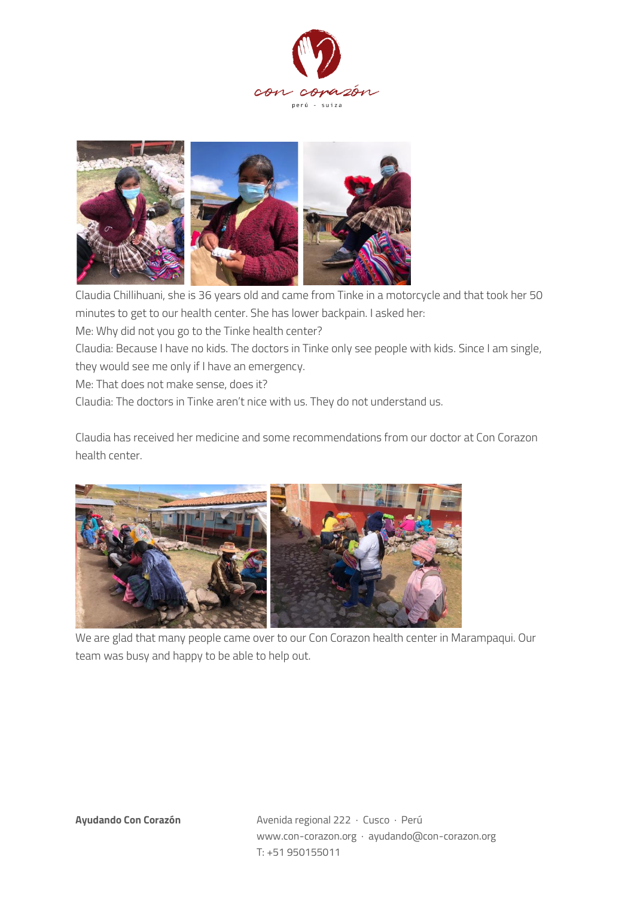



Claudia Chillihuani, she is 36 years old and came from Tinke in a motorcycle and that took her 50 minutes to get to our health center. She has lower backpain. I asked her: Me: Why did not you go to the Tinke health center?

Claudia: Because I have no kids. The doctors in Tinke only see people with kids. Since I am single, they would see me only if I have an emergency.

Me: That does not make sense, does it?

Claudia: The doctors in Tinke aren't nice with us. They do not understand us.

Claudia has received her medicine and some recommendations from our doctor at Con Corazon health center.



We are glad that many people came over to our Con Corazon health center in Marampaqui. Our team was busy and happy to be able to help out.

**Ayudando Con Corazón** Avenida regional 222 · Cusco · Perú www.con-corazon.org · ayudando@con-corazon.org T: +51 950155011